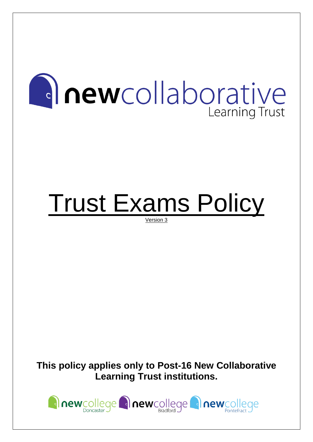

# Trust Exams Policy

Version 3

**This policy applies only to Post-16 New Collaborative Learning Trust institutions.**

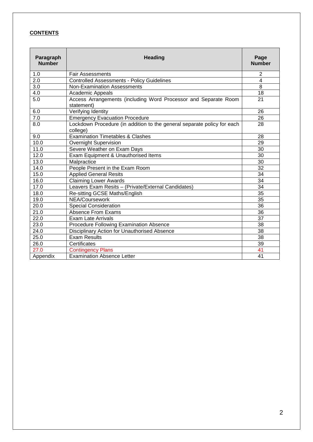## **CONTENTS**

| Paragraph<br><b>Number</b> | <b>Heading</b>                                                                      | Page<br><b>Number</b> |
|----------------------------|-------------------------------------------------------------------------------------|-----------------------|
| 1.0                        | <b>Fair Assessments</b>                                                             | 2                     |
| 2.0                        | <b>Controlled Assessments - Policy Guidelines</b>                                   | $\overline{4}$        |
| 3.0                        | Non-Examination Assessments                                                         | 8                     |
| 4.0                        | Academic Appeals                                                                    | 18                    |
| 5.0                        | Access Arrangements (including Word Processor and Separate Room<br>statement)       | 21                    |
| 6.0                        | Verifying Identity                                                                  | 26                    |
| 7.0                        | <b>Emergency Evacuation Procedure</b>                                               | 26                    |
| 8.0                        | Lockdown Procedure (in addition to the general separate policy for each<br>college) | 28                    |
| 9.0                        | <b>Examination Timetables &amp; Clashes</b>                                         | 28                    |
| 10.0                       | <b>Overnight Supervision</b>                                                        | 29                    |
| 11.0                       | Severe Weather on Exam Days                                                         | 30                    |
| 12.0                       | Exam Equipment & Unauthorised Items                                                 | 30                    |
| 13.0                       | Malpractice                                                                         | 30                    |
| 14.0                       | People Present in the Exam Room                                                     | $\overline{32}$       |
| 15.0                       | <b>Applied General Resits</b>                                                       | 34                    |
| 16.0                       | Claiming Lower Awards                                                               | 34                    |
| 17.0                       | Leavers Exam Resits - (Private/External Candidates)                                 | $\overline{34}$       |
| 18.0                       | Re-sitting GCSE Maths/English                                                       | 35                    |
| 19.0                       | NEA/Coursework                                                                      | 35                    |
| 20.0                       | <b>Special Consideration</b>                                                        | 36                    |
| 21.0                       | Absence From Exams                                                                  | 36                    |
| 22.0                       | <b>Exam Late Arrivals</b>                                                           | $\overline{37}$       |
| 23.0                       | Procedure Following Examination Absence                                             | 38                    |
| 24.0                       | Disciplinary Action for Unauthorised Absence                                        | 38                    |
| 25.0                       | <b>Exam Results</b>                                                                 | $\overline{38}$       |
| 26.0                       | Certificates                                                                        | 39                    |
| 27.0                       | <b>Contingency Plans</b>                                                            | 41                    |
| Appendix                   | <b>Examination Absence Letter</b>                                                   | 41                    |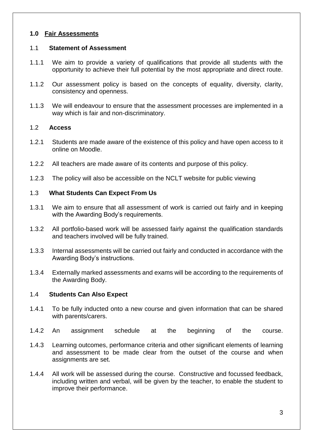#### **1.0 Fair Assessments**

#### 1.1 **Statement of Assessment**

- 1.1.1 We aim to provide a variety of qualifications that provide all students with the opportunity to achieve their full potential by the most appropriate and direct route.
- 1.1.2 Our assessment policy is based on the concepts of equality, diversity, clarity, consistency and openness.
- 1.1.3 We will endeavour to ensure that the assessment processes are implemented in a way which is fair and non-discriminatory.

#### 1.2 **Access**

- 1.2.1 Students are made aware of the existence of this policy and have open access to it online on Moodle.
- 1.2.2 All teachers are made aware of its contents and purpose of this policy.
- 1.2.3 The policy will also be accessible on the NCLT website for public viewing

#### 1.3 **What Students Can Expect From Us**

- 1.3.1 We aim to ensure that all assessment of work is carried out fairly and in keeping with the Awarding Body's requirements.
- 1.3.2 All portfolio-based work will be assessed fairly against the qualification standards and teachers involved will be fully trained.
- 1.3.3 Internal assessments will be carried out fairly and conducted in accordance with the Awarding Body's instructions.
- 1.3.4 Externally marked assessments and exams will be according to the requirements of the Awarding Body.

#### 1.4 **Students Can Also Expect**

- 1.4.1 To be fully inducted onto a new course and given information that can be shared with parents/carers.
- 1.4.2 An assignment schedule at the beginning of the course.
- 1.4.3 Learning outcomes, performance criteria and other significant elements of learning and assessment to be made clear from the outset of the course and when assignments are set.
- 1.4.4 All work will be assessed during the course. Constructive and focussed feedback, including written and verbal, will be given by the teacher, to enable the student to improve their performance.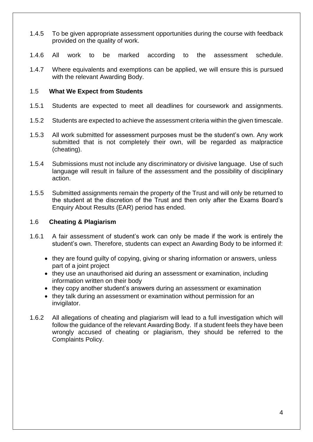- 1.4.5 To be given appropriate assessment opportunities during the course with feedback provided on the quality of work.
- 1.4.6 All work to be marked according to the assessment schedule.
- 1.4.7 Where equivalents and exemptions can be applied, we will ensure this is pursued with the relevant Awarding Body.

#### 1.5 **What We Expect from Students**

- 1.5.1 Students are expected to meet all deadlines for coursework and assignments.
- 1.5.2 Students are expected to achieve the assessment criteria within the given timescale.
- 1.5.3 All work submitted for assessment purposes must be the student's own. Any work submitted that is not completely their own, will be regarded as malpractice (cheating).
- 1.5.4 Submissions must not include any discriminatory or divisive language. Use of such language will result in failure of the assessment and the possibility of disciplinary action.
- 1.5.5 Submitted assignments remain the property of the Trust and will only be returned to the student at the discretion of the Trust and then only after the Exams Board's Enquiry About Results (EAR) period has ended.

#### 1.6 **Cheating & Plagiarism**

- 1.6.1 A fair assessment of student's work can only be made if the work is entirely the student's own. Therefore, students can expect an Awarding Body to be informed if:
	- they are found quilty of copying, giving or sharing information or answers, unless part of a joint project
	- they use an unauthorised aid during an assessment or examination, including information written on their body
	- they copy another student's answers during an assessment or examination
	- they talk during an assessment or examination without permission for an invigilator.
- 1.6.2 All allegations of cheating and plagiarism will lead to a full investigation which will follow the guidance of the relevant Awarding Body. If a student feels they have been wrongly accused of cheating or plagiarism, they should be referred to the Complaints Policy.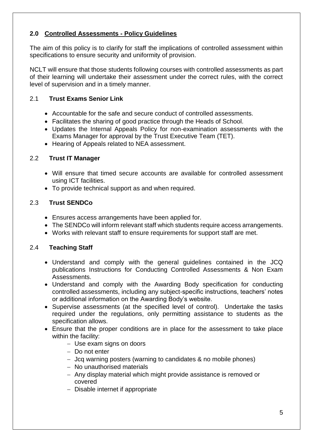# **2.0 Controlled Assessments - Policy Guidelines**

The aim of this policy is to clarify for staff the implications of controlled assessment within specifications to ensure security and uniformity of provision.

NCLT will ensure that those students following courses with controlled assessments as part of their learning will undertake their assessment under the correct rules, with the correct level of supervision and in a timely manner.

## 2.1 **Trust Exams Senior Link**

- Accountable for the safe and secure conduct of controlled assessments.
- Facilitates the sharing of good practice through the Heads of School.
- Updates the Internal Appeals Policy for non-examination assessments with the Exams Manager for approval by the Trust Executive Team (TET).
- Hearing of Appeals related to NEA assessment.

## 2.2 **Trust IT Manager**

- Will ensure that timed secure accounts are available for controlled assessment using ICT facilities.
- To provide technical support as and when required.

# 2.3 **Trust SENDCo**

- Ensures access arrangements have been applied for.
- The SENDCo will inform relevant staff which students require access arrangements.
- Works with relevant staff to ensure requirements for support staff are met.

# 2.4 **Teaching Staff**

- Understand and comply with the general guidelines contained in the JCQ publications Instructions for Conducting Controlled Assessments & Non Exam Assessments.
- Understand and comply with the Awarding Body specification for conducting controlled assessments, including any subject-specific instructions, teachers' notes or additional information on the Awarding Body's website.
- Supervise assessments (at the specified level of control). Undertake the tasks required under the regulations, only permitting assistance to students as the specification allows.
- Ensure that the proper conditions are in place for the assessment to take place within the facility:
	- − Use exam signs on doors
	- − Do not enter
	- − Jcq warning posters (warning to candidates & no mobile phones)
	- − No unauthorised materials
	- − Any display material which might provide assistance is removed or covered
	- − Disable internet if appropriate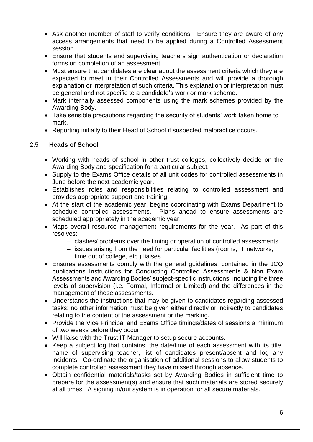- Ask another member of staff to verify conditions. Ensure they are aware of any access arrangements that need to be applied during a Controlled Assessment session.
- Ensure that students and supervising teachers sign authentication or declaration forms on completion of an assessment.
- Must ensure that candidates are clear about the assessment criteria which they are expected to meet in their Controlled Assessments and will provide a thorough explanation or interpretation of such criteria. This explanation or interpretation must be general and not specific to a candidate's work or mark scheme.
- Mark internally assessed components using the mark schemes provided by the Awarding Body.
- Take sensible precautions regarding the security of students' work taken home to mark.
- Reporting initially to their Head of School if suspected malpractice occurs.

#### 2.5 **Heads of School**

- Working with heads of school in other trust colleges, collectively decide on the Awarding Body and specification for a particular subject.
- Supply to the Exams Office details of all unit codes for controlled assessments in June before the next academic year.
- Establishes roles and responsibilities relating to controlled assessment and provides appropriate support and training.
- At the start of the academic year, begins coordinating with Exams Department to schedule controlled assessments. Plans ahead to ensure assessments are scheduled appropriately in the academic year.
- Maps overall resource management requirements for the year. As part of this resolves:
	- − clashes/ problems over the timing or operation of controlled assessments.
	- − issues arising from the need for particular facilities (rooms, IT networks,
		- time out of college, etc.) liaises.
- Ensures assessments comply with the general guidelines, contained in the JCQ publications Instructions for Conducting Controlled Assessments & Non Exam Assessments and Awarding Bodies' subject-specific instructions, including the three levels of supervision (i.e. Formal, Informal or Limited) and the differences in the management of these assessments.
- Understands the instructions that may be given to candidates regarding assessed tasks; no other information must be given either directly or indirectly to candidates relating to the content of the assessment or the marking.
- Provide the Vice Principal and Exams Office timings/dates of sessions a minimum of two weeks before they occur.
- Will liaise with the Trust IT Manager to setup secure accounts.
- Keep a subject log that contains: the date/time of each assessment with its title, name of supervising teacher, list of candidates present/absent and log any incidents. Co-ordinate the organisation of additional sessions to allow students to complete controlled assessment they have missed through absence.
- Obtain confidential materials/tasks set by Awarding Bodies in sufficient time to prepare for the assessment(s) and ensure that such materials are stored securely at all times. A signing in/out system is in operation for all secure materials.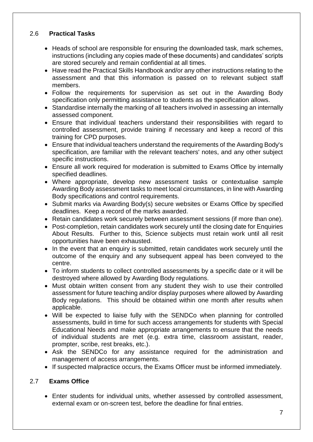## 2.6 **Practical Tasks**

- Heads of school are responsible for ensuring the downloaded task, mark schemes, instructions (including any copies made of these documents) and candidates' scripts are stored securely and remain confidential at all times.
- Have read the Practical Skills Handbook and/or any other instructions relating to the assessment and that this information is passed on to relevant subject staff members.
- Follow the requirements for supervision as set out in the Awarding Body specification only permitting assistance to students as the specification allows.
- Standardise internally the marking of all teachers involved in assessing an internally assessed component.
- Ensure that individual teachers understand their responsibilities with regard to controlled assessment, provide training if necessary and keep a record of this training for CPD purposes.
- Ensure that individual teachers understand the requirements of the Awarding Body's specification, are familiar with the relevant teachers' notes, and any other subject specific instructions.
- Ensure all work required for moderation is submitted to Exams Office by internally specified deadlines.
- Where appropriate, develop new assessment tasks or contextualise sample Awarding Body assessment tasks to meet local circumstances, in line with Awarding Body specifications and control requirements.
- Submit marks via Awarding Body(s) secure websites or Exams Office by specified deadlines. Keep a record of the marks awarded.
- Retain candidates work securely between assessment sessions (if more than one).
- Post-completion, retain candidates work securely until the closing date for Enquiries About Results. Further to this, Science subjects must retain work until all resit opportunities have been exhausted.
- In the event that an enquiry is submitted, retain candidates work securely until the outcome of the enquiry and any subsequent appeal has been conveyed to the centre.
- To inform students to collect controlled assessments by a specific date or it will be destroyed where allowed by Awarding Body regulations.
- Must obtain written consent from any student they wish to use their controlled assessment for future teaching and/or display purposes where allowed by Awarding Body regulations. This should be obtained within one month after results when applicable.
- Will be expected to liaise fully with the SENDCo when planning for controlled assessments, build in time for such access arrangements for students with Special Educational Needs and make appropriate arrangements to ensure that the needs of individual students are met (e.g. extra time, classroom assistant, reader, prompter, scribe, rest breaks, etc.).
- Ask the SENDCo for any assistance required for the administration and management of access arrangements.
- If suspected malpractice occurs, the Exams Officer must be informed immediately.

# 2.7 **Exams Office**

• Enter students for individual units, whether assessed by controlled assessment, external exam or on-screen test, before the deadline for final entries.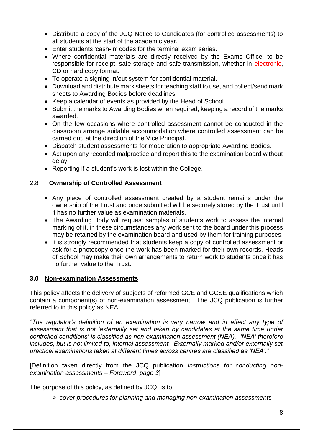- Distribute a copy of the JCQ Notice to Candidates (for controlled assessments) to all students at the start of the academic year.
- Enter students 'cash-in' codes for the terminal exam series.
- Where confidential materials are directly received by the Exams Office, to be responsible for receipt, safe storage and safe transmission, whether in electronic, CD or hard copy format.
- To operate a signing in/out system for confidential material.
- Download and distribute mark sheets for teaching staff to use, and collect/send mark sheets to Awarding Bodies before deadlines.
- Keep a calendar of events as provided by the Head of School
- Submit the marks to Awarding Bodies when required, keeping a record of the marks awarded.
- On the few occasions where controlled assessment cannot be conducted in the classroom arrange suitable accommodation where controlled assessment can be carried out, at the direction of the Vice Principal.
- Dispatch student assessments for moderation to appropriate Awarding Bodies.
- Act upon any recorded malpractice and report this to the examination board without delay.
- Reporting if a student's work is lost within the College.

## 2.8 **Ownership of Controlled Assessment**

- Any piece of controlled assessment created by a student remains under the ownership of the Trust and once submitted will be securely stored by the Trust until it has no further value as examination materials.
- The Awarding Body will request samples of students work to assess the internal marking of it, in these circumstances any work sent to the board under this process may be retained by the examination board and used by them for training purposes.
- It is strongly recommended that students keep a copy of controlled assessment or ask for a photocopy once the work has been marked for their own records. Heads of School may make their own arrangements to return work to students once it has no further value to the Trust.

## **3.0 Non-examination Assessments**

This policy affects the delivery of subjects of reformed GCE and GCSE qualifications which contain a component(s) of non-examination assessment. The JCQ publication is further referred to in this policy as NEA.

*"The regulator's definition of an examination is very narrow and in effect any type of assessment that is not 'externally set and taken by candidates at the same time under controlled conditions' is classified as non-examination assessment (NEA). 'NEA' therefore includes, but is not limited to, internal assessment. Externally marked and/or externally set practical examinations taken at different times across centres are classified as 'NEA'."*

[Definition taken directly from the JCQ publication *Instructions for conducting nonexamination assessments* – *Foreword*, *page 3*]

The purpose of this policy, as defined by JCQ, is to:

➢ *cover procedures for planning and managing non-examination assessments*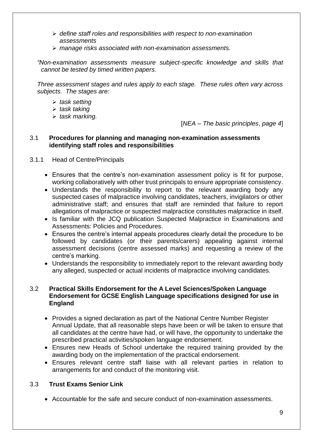- ➢ *define staff roles and responsibilities with respect to non-examination assessments*
- ➢ *manage risks associated with non-examination assessments.*

*"Non-examination assessments measure subject-specific knowledge and skills that cannot be tested by timed written papers.* 

*Three assessment stages and rules apply to each stage. These rules often vary across subjects. The stages are:* 

- ➢ *task setting*
- ➢ *task taking*
- ➢ *task marking.*

[*NEA* – *The basic principles*, *page 4*]

#### 3.1 **Procedures for planning and managing non-examination assessments identifying staff roles and responsibilities**

## 3.1.1 Head of Centre/Principals

- Ensures that the centre's non-examination assessment policy is fit for purpose, working collaboratively with other trust principals to ensure appropriate consistency.
- Understands the responsibility to report to the relevant awarding body any suspected cases of malpractice involving candidates, teachers, invigilators or other administrative staff; and ensures that staff are reminded that failure to report allegations of malpractice or suspected malpractice constitutes malpractice in itself.
- Is familiar with the JCQ publication Suspected Malpractice in Examinations and Assessments: Policies and Procedures.
- Ensures the centre's internal appeals procedures clearly detail the procedure to be followed by candidates (or their parents/carers) appealing against internal assessment decisions (centre assessed marks) and requesting a review of the centre's marking.
- Understands the responsibility to immediately report to the relevant awarding body any alleged, suspected or actual incidents of malpractice involving candidates.

#### 3.2 **Practical Skills Endorsement for the A Level Sciences/Spoken Language Endorsement for GCSE English Language specifications designed for use in England**

- Provides a signed declaration as part of the National Centre Number Register Annual Update, that all reasonable steps have been or will be taken to ensure that all candidates at the centre have had, or will have, the opportunity to undertake the prescribed practical activities/spoken language endorsement.
- Ensures new Heads of School undertake the required training provided by the awarding body on the implementation of the practical endorsement.
- Ensures relevant centre staff liaise with all relevant parties in relation to arrangements for and conduct of the monitoring visit.

## 3.3 **Trust Exams Senior Link**

• Accountable for the safe and secure conduct of non-examination assessments.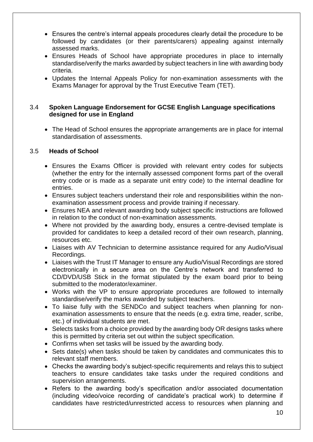- Ensures the centre's internal appeals procedures clearly detail the procedure to be followed by candidates (or their parents/carers) appealing against internally assessed marks.
- Ensures Heads of School have appropriate procedures in place to internally standardise/verify the marks awarded by subject teachers in line with awarding body criteria.
- Updates the Internal Appeals Policy for non-examination assessments with the Exams Manager for approval by the Trust Executive Team (TET).

#### 3.4 **Spoken Language Endorsement for GCSE English Language specifications designed for use in England**

• The Head of School ensures the appropriate arrangements are in place for internal standardisation of assessments.

#### 3.5 **Heads of School**

- Ensures the Exams Officer is provided with relevant entry codes for subjects (whether the entry for the internally assessed component forms part of the overall entry code or is made as a separate unit entry code) to the internal deadline for entries.
- Ensures subject teachers understand their role and responsibilities within the nonexamination assessment process and provide training if necessary.
- Ensures NEA and relevant awarding body subject specific instructions are followed in relation to the conduct of non-examination assessments.
- Where not provided by the awarding body, ensures a centre-devised template is provided for candidates to keep a detailed record of their own research, planning, resources etc.
- Liaises with AV Technician to determine assistance required for any Audio/Visual Recordings.
- Liaises with the Trust IT Manager to ensure any Audio/Visual Recordings are stored electronically in a secure area on the Centre's network and transferred to CD/DVD/USB Stick in the format stipulated by the exam board prior to being submitted to the moderator/examiner.
- Works with the VP to ensure appropriate procedures are followed to internally standardise/verify the marks awarded by subject teachers.
- To liaise fully with the SENDCo and subject teachers when planning for nonexamination assessments to ensure that the needs (e.g. extra time, reader, scribe, etc.) of individual students are met.
- Selects tasks from a choice provided by the awarding body OR designs tasks where this is permitted by criteria set out within the subject specification.
- Confirms when set tasks will be issued by the awarding body.
- Sets date(s) when tasks should be taken by candidates and communicates this to relevant staff members.
- Checks the awarding body's subject-specific requirements and relays this to subject teachers to ensure candidates take tasks under the required conditions and supervision arrangements.
- Refers to the awarding body's specification and/or associated documentation (including video/voice recording of candidate's practical work) to determine if candidates have restricted/unrestricted access to resources when planning and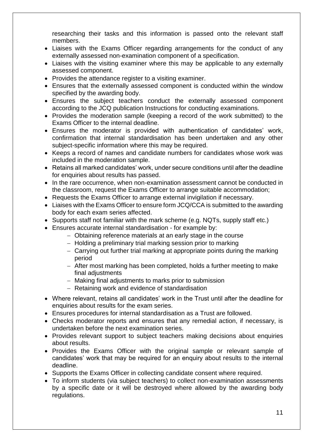researching their tasks and this information is passed onto the relevant staff members.

- Liaises with the Exams Officer regarding arrangements for the conduct of any externally assessed non-examination component of a specification.
- Liaises with the visiting examiner where this may be applicable to any externally assessed component.
- Provides the attendance register to a visiting examiner.
- Ensures that the externally assessed component is conducted within the window specified by the awarding body.
- Ensures the subject teachers conduct the externally assessed component according to the JCQ publication Instructions for conducting examinations.
- Provides the moderation sample (keeping a record of the work submitted) to the Exams Officer to the internal deadline.
- Ensures the moderator is provided with authentication of candidates' work, confirmation that internal standardisation has been undertaken and any other subject-specific information where this may be required.
- Keeps a record of names and candidate numbers for candidates whose work was included in the moderation sample.
- Retains all marked candidates' work, under secure conditions until after the deadline for enquiries about results has passed.
- In the rare occurrence, when non-examination assessment cannot be conducted in the classroom, request the Exams Officer to arrange suitable accommodation;
- Requests the Exams Officer to arrange external invigilation if necessary.
- Liaises with the Exams Officer to ensure form JCQ/CCA is submitted to the awarding body for each exam series affected.
- Supports staff not familiar with the mark scheme (e.g. NQTs, supply staff etc.)
- Ensures accurate internal standardisation for example by:
	- − Obtaining reference materials at an early stage in the course
	- − Holding a preliminary trial marking session prior to marking
	- − Carrying out further trial marking at appropriate points during the marking period
	- − After most marking has been completed, holds a further meeting to make final adjustments
	- − Making final adjustments to marks prior to submission
	- − Retaining work and evidence of standardisation
- Where relevant, retains all candidates' work in the Trust until after the deadline for enquiries about results for the exam series.
- Ensures procedures for internal standardisation as a Trust are followed.
- Checks moderator reports and ensures that any remedial action, if necessary, is undertaken before the next examination series.
- Provides relevant support to subject teachers making decisions about enquiries about results.
- Provides the Exams Officer with the original sample or relevant sample of candidates' work that may be required for an enquiry about results to the internal deadline.
- Supports the Exams Officer in collecting candidate consent where required.
- To inform students (via subject teachers) to collect non-examination assessments by a specific date or it will be destroyed where allowed by the awarding body regulations.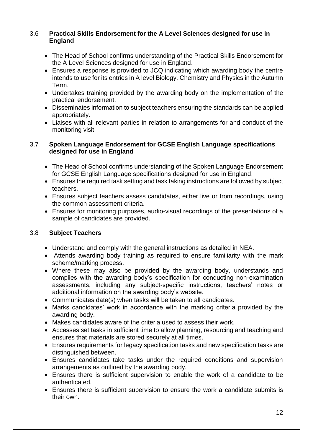## 3.6 **Practical Skills Endorsement for the A Level Sciences designed for use in England**

- The Head of School confirms understanding of the Practical Skills Endorsement for the A Level Sciences designed for use in England.
- Ensures a response is provided to JCQ indicating which awarding body the centre intends to use for its entries in A level Biology, Chemistry and Physics in the Autumn Term.
- Undertakes training provided by the awarding body on the implementation of the practical endorsement.
- Disseminates information to subject teachers ensuring the standards can be applied appropriately.
- Liaises with all relevant parties in relation to arrangements for and conduct of the monitoring visit.

#### 3.7 **Spoken Language Endorsement for GCSE English Language specifications designed for use in England**

- The Head of School confirms understanding of the Spoken Language Endorsement for GCSE English Language specifications designed for use in England.
- Ensures the required task setting and task taking instructions are followed by subject teachers.
- Ensures subject teachers assess candidates, either live or from recordings, using the common assessment criteria.
- Ensures for monitoring purposes, audio-visual recordings of the presentations of a sample of candidates are provided.

## 3.8 **Subject Teachers**

- Understand and comply with the general instructions as detailed in NEA.
- Attends awarding body training as required to ensure familiarity with the mark scheme/marking process.
- Where these may also be provided by the awarding body, understands and complies with the awarding body's specification for conducting non-examination assessments, including any subject-specific instructions, teachers' notes or additional information on the awarding body's website.
- Communicates date(s) when tasks will be taken to all candidates.
- Marks candidates' work in accordance with the marking criteria provided by the awarding body.
- Makes candidates aware of the criteria used to assess their work.
- Accesses set tasks in sufficient time to allow planning, resourcing and teaching and ensures that materials are stored securely at all times.
- Ensures requirements for legacy specification tasks and new specification tasks are distinguished between.
- Ensures candidates take tasks under the required conditions and supervision arrangements as outlined by the awarding body.
- Ensures there is sufficient supervision to enable the work of a candidate to be authenticated.
- Ensures there is sufficient supervision to ensure the work a candidate submits is their own.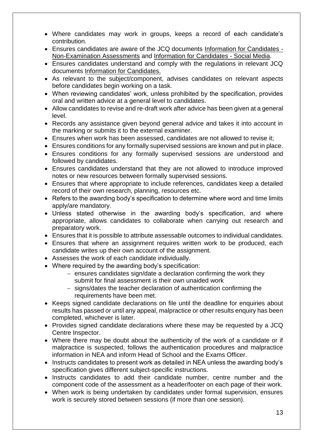- Where candidates may work in groups, keeps a record of each candidate's contribution.
- Ensures candidates are aware of the JCQ documents Information for Candidates Non-Examination Assessments and Information for Candidates - Social Media.
- Ensures candidates understand and comply with the regulations in relevant JCQ documents Information for Candidates.
- As relevant to the subject/component, advises candidates on relevant aspects before candidates begin working on a task.
- When reviewing candidates' work, unless prohibited by the specification, provides oral and written advice at a general level to candidates.
- Allow candidates to revise and re-draft work after advice has been given at a general level.
- Records any assistance given beyond general advice and takes it into account in the marking or submits it to the external examiner.
- Ensures when work has been assessed, candidates are not allowed to revise it;
- Ensures conditions for any formally supervised sessions are known and put in place.
- Ensures conditions for any formally supervised sessions are understood and followed by candidates.
- Ensures candidates understand that they are not allowed to introduce improved notes or new resources between formally supervised sessions.
- Ensures that where appropriate to include references, candidates keep a detailed record of their own research, planning, resources etc.
- Refers to the awarding body's specification to determine where word and time limits apply/are mandatory.
- Unless stated otherwise in the awarding body's specification, and where appropriate, allows candidates to collaborate when carrying out research and preparatory work.
- Ensures that it is possible to attribute assessable outcomes to individual candidates.
- Ensures that where an assignment requires written work to be produced, each candidate writes up their own account of the assignment.
- Assesses the work of each candidate individually.
- Where required by the awarding body's specification:
	- − ensures candidates sign/date a declaration confirming the work they submit for final assessment is their own unaided work
	- − signs/dates the teacher declaration of authentication confirming the requirements have been met.
- Keeps signed candidate declarations on file until the deadline for enquiries about results has passed or until any appeal, malpractice or other results enquiry has been completed, whichever is later.
- Provides signed candidate declarations where these may be requested by a JCQ Centre Inspector.
- Where there may be doubt about the authenticity of the work of a candidate or if malpractice is suspected, follows the authentication procedures and malpractice information in NEA and inform Head of School and the Exams Officer.
- Instructs candidates to present work as detailed in NEA unless the awarding body's specification gives different subject-specific instructions.
- Instructs candidates to add their candidate number, centre number and the component code of the assessment as a header/footer on each page of their work.
- When work is being undertaken by candidates under formal supervision, ensures work is securely stored between sessions (if more than one session).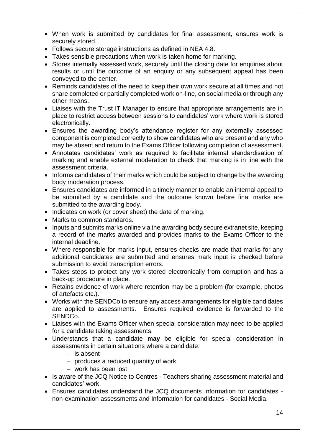- When work is submitted by candidates for final assessment, ensures work is securely stored.
- Follows secure storage instructions as defined in NEA 4.8.
- Takes sensible precautions when work is taken home for marking.
- Stores internally assessed work, securely until the closing date for enquiries about results or until the outcome of an enquiry or any subsequent appeal has been conveyed to the center.
- Reminds candidates of the need to keep their own work secure at all times and not share completed or partially completed work on-line, on social media or through any other means.
- Liaises with the Trust IT Manager to ensure that appropriate arrangements are in place to restrict access between sessions to candidates' work where work is stored electronically.
- Ensures the awarding body's attendance register for any externally assessed component is completed correctly to show candidates who are present and any who may be absent and return to the Exams Officer following completion of assessment.
- Annotates candidates' work as required to facilitate internal standardisation of marking and enable external moderation to check that marking is in line with the assessment criteria.
- Informs candidates of their marks which could be subject to change by the awarding body moderation process.
- Ensures candidates are informed in a timely manner to enable an internal appeal to be submitted by a candidate and the outcome known before final marks are submitted to the awarding body.
- Indicates on work (or cover sheet) the date of marking.
- Marks to common standards.
- Inputs and submits marks online via the awarding body secure extranet site, keeping a record of the marks awarded and provides marks to the Exams Officer to the internal deadline.
- Where responsible for marks input, ensures checks are made that marks for any additional candidates are submitted and ensures mark input is checked before submission to avoid transcription errors.
- Takes steps to protect any work stored electronically from corruption and has a back-up procedure in place.
- Retains evidence of work where retention may be a problem (for example, photos of artefacts etc.).
- Works with the SENDCo to ensure any access arrangements for eligible candidates are applied to assessments. Ensures required evidence is forwarded to the SENDCo.
- Liaises with the Exams Officer when special consideration may need to be applied for a candidate taking assessments.
- Understands that a candidate **may** be eligible for special consideration in assessments in certain situations where a candidate:
	- − is absent
	- − produces a reduced quantity of work
	- − work has been lost.
- Is aware of the JCQ Notice to Centres Teachers sharing assessment material and candidates' work.
- Ensures candidates understand the JCQ documents Information for candidates non-examination assessments and Information for candidates - Social Media.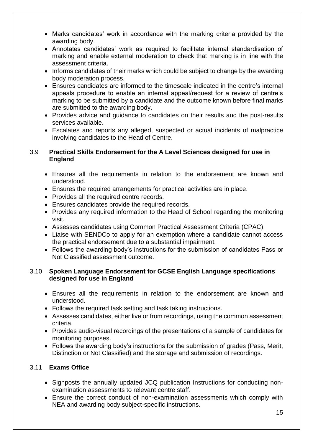- Marks candidates' work in accordance with the marking criteria provided by the awarding body.
- Annotates candidates' work as required to facilitate internal standardisation of marking and enable external moderation to check that marking is in line with the assessment criteria.
- Informs candidates of their marks which could be subject to change by the awarding body moderation process.
- Ensures candidates are informed to the timescale indicated in the centre's internal appeals procedure to enable an internal appeal/request for a review of centre's marking to be submitted by a candidate and the outcome known before final marks are submitted to the awarding body.
- Provides advice and guidance to candidates on their results and the post-results services available.
- Escalates and reports any alleged, suspected or actual incidents of malpractice involving candidates to the Head of Centre.

#### 3.9 **Practical Skills Endorsement for the A Level Sciences designed for use in England**

- Ensures all the requirements in relation to the endorsement are known and understood.
- Ensures the required arrangements for practical activities are in place.
- Provides all the required centre records.
- Ensures candidates provide the required records.
- Provides any required information to the Head of School regarding the monitoring visit.
- Assesses candidates using Common Practical Assessment Criteria (CPAC).
- Liaise with SENDCo to apply for an exemption where a candidate cannot access the practical endorsement due to a substantial impairment.
- Follows the awarding body's instructions for the submission of candidates Pass or Not Classified assessment outcome.

#### 3.10 **Spoken Language Endorsement for GCSE English Language specifications designed for use in England**

- Ensures all the requirements in relation to the endorsement are known and understood.
- Follows the required task setting and task taking instructions.
- Assesses candidates, either live or from recordings, using the common assessment criteria.
- Provides audio-visual recordings of the presentations of a sample of candidates for monitoring purposes.
- Follows the awarding body's instructions for the submission of grades (Pass, Merit, Distinction or Not Classified) and the storage and submission of recordings.

# 3.11 **Exams Office**

- Signposts the annually updated JCQ publication Instructions for conducting nonexamination assessments to relevant centre staff.
- Ensure the correct conduct of non-examination assessments which comply with NEA and awarding body subject-specific instructions.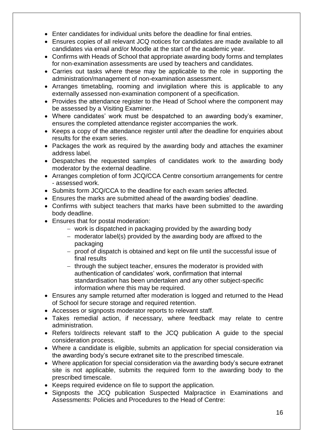- Enter candidates for individual units before the deadline for final entries.
- Ensures copies of all relevant JCQ notices for candidates are made available to all candidates via email and/or Moodle at the start of the academic year.
- Confirms with Heads of School that appropriate awarding body forms and templates for non-examination assessments are used by teachers and candidates.
- Carries out tasks where these may be applicable to the role in supporting the administration/management of non-examination assessment.
- Arranges timetabling, rooming and invigilation where this is applicable to any externally assessed non-examination component of a specification.
- Provides the attendance register to the Head of School where the component may be assessed by a Visiting Examiner.
- Where candidates' work must be despatched to an awarding body's examiner, ensures the completed attendance register accompanies the work.
- Keeps a copy of the attendance register until after the deadline for enquiries about results for the exam series.
- Packages the work as required by the awarding body and attaches the examiner address label.
- Despatches the requested samples of candidates work to the awarding body moderator by the external deadline.
- Arranges completion of form JCQ/CCA Centre consortium arrangements for centre - assessed work.
- Submits form JCQ/CCA to the deadline for each exam series affected.
- Ensures the marks are submitted ahead of the awarding bodies' deadline.
- Confirms with subject teachers that marks have been submitted to the awarding body deadline.
- Ensures that for postal moderation:
	- − work is dispatched in packaging provided by the awarding body
	- − moderator label(s) provided by the awarding body are affixed to the packaging
	- − proof of dispatch is obtained and kept on file until the successful issue of final results
	- − through the subject teacher, ensures the moderator is provided with authentication of candidates' work, confirmation that internal standardisation has been undertaken and any other subject-specific information where this may be required.
- Ensures any sample returned after moderation is logged and returned to the Head of School for secure storage and required retention.
- Accesses or signposts moderator reports to relevant staff.
- Takes remedial action, if necessary, where feedback may relate to centre administration.
- Refers to/directs relevant staff to the JCQ publication A guide to the special consideration process.
- Where a candidate is eligible, submits an application for special consideration via the awarding body's secure extranet site to the prescribed timescale.
- Where application for special consideration via the awarding body's secure extranet site is not applicable, submits the required form to the awarding body to the prescribed timescale.
- Keeps required evidence on file to support the application.
- Signposts the JCQ publication Suspected Malpractice in Examinations and Assessments: Policies and Procedures to the Head of Centre: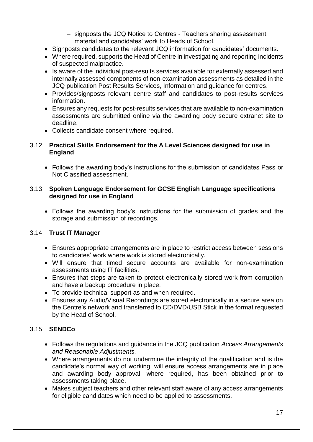- − signposts the JCQ Notice to Centres Teachers sharing assessment material and candidates' work to Heads of School.
- Signposts candidates to the relevant JCQ information for candidates' documents.
- Where required, supports the Head of Centre in investigating and reporting incidents of suspected malpractice.
- Is aware of the individual post-results services available for externally assessed and internally assessed components of non-examination assessments as detailed in the JCQ publication Post Results Services, Information and guidance for centres.
- Provides/signposts relevant centre staff and candidates to post-results services information.
- Ensures any requests for post-results services that are available to non-examination assessments are submitted online via the awarding body secure extranet site to deadline.
- Collects candidate consent where required.

## 3.12 **Practical Skills Endorsement for the A Level Sciences designed for use in England**

• Follows the awarding body's instructions for the submission of candidates Pass or Not Classified assessment.

## 3.13 **Spoken Language Endorsement for GCSE English Language specifications designed for use in England**

• Follows the awarding body's instructions for the submission of grades and the storage and submission of recordings.

# 3.14 **Trust IT Manager**

- Ensures appropriate arrangements are in place to restrict access between sessions to candidates' work where work is stored electronically.
- Will ensure that timed secure accounts are available for non-examination assessments using IT facilities.
- Ensures that steps are taken to protect electronically stored work from corruption and have a backup procedure in place.
- To provide technical support as and when required.
- Ensures any Audio/Visual Recordings are stored electronically in a secure area on the Centre's network and transferred to CD/DVD/USB Stick in the format requested by the Head of School.

# 3.15 **SENDCo**

- Follows the regulations and guidance in the JCQ publication *Access Arrangements and Reasonable Adjustments.*
- Where arrangements do not undermine the integrity of the qualification and is the candidate's normal way of working, will ensure access arrangements are in place and awarding body approval, where required, has been obtained prior to assessments taking place.
- Makes subject teachers and other relevant staff aware of any access arrangements for eligible candidates which need to be applied to assessments.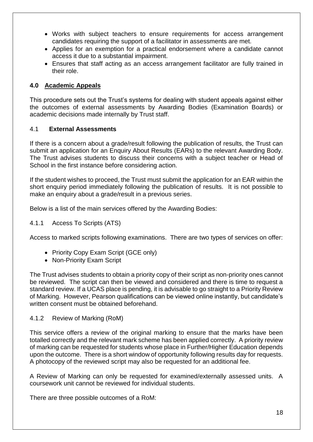- Works with subject teachers to ensure requirements for access arrangement candidates requiring the support of a facilitator in assessments are met.
- Applies for an exemption for a practical endorsement where a candidate cannot access it due to a substantial impairment.
- Ensures that staff acting as an access arrangement facilitator are fully trained in their role.

## **4.0 Academic Appeals**

This procedure sets out the Trust's systems for dealing with student appeals against either the outcomes of external assessments by Awarding Bodies (Examination Boards) or academic decisions made internally by Trust staff.

## 4.1 **External Assessments**

If there is a concern about a grade/result following the publication of results, the Trust can submit an application for an Enquiry About Results (EARs) to the relevant Awarding Body. The Trust advises students to discuss their concerns with a subject teacher or Head of School in the first instance before considering action.

If the student wishes to proceed, the Trust must submit the application for an EAR within the short enquiry period immediately following the publication of results. It is not possible to make an enquiry about a grade/result in a previous series.

Below is a list of the main services offered by the Awarding Bodies:

#### 4.1.1 Access To Scripts (ATS)

Access to marked scripts following examinations. There are two types of services on offer:

- Priority Copy Exam Script (GCE only)
- Non-Priority Exam Script

The Trust advises students to obtain a priority copy of their script as non-priority ones cannot be reviewed. The script can then be viewed and considered and there is time to request a standard review. If a UCAS place is pending, it is advisable to go straight to a Priority Review of Marking. However, Pearson qualifications can be viewed online instantly, but candidate's written consent must be obtained beforehand.

#### 4.1.2 Review of Marking (RoM)

This service offers a review of the original marking to ensure that the marks have been totalled correctly and the relevant mark scheme has been applied correctly. A priority review of marking can be requested for students whose place in Further/Higher Education depends upon the outcome. There is a short window of opportunity following results day for requests. A photocopy of the reviewed script may also be requested for an additional fee.

A Review of Marking can only be requested for examined/externally assessed units. A coursework unit cannot be reviewed for individual students.

There are three possible outcomes of a RoM: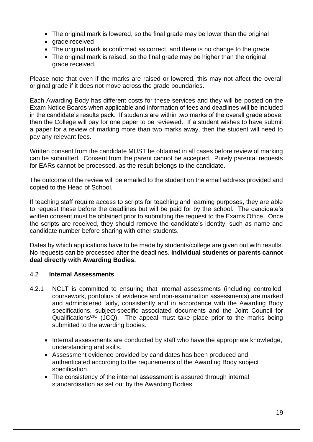- The original mark is lowered, so the final grade may be lower than the original
- grade received
- The original mark is confirmed as correct, and there is no change to the grade
- The original mark is raised, so the final grade may be higher than the original grade received.

Please note that even if the marks are raised or lowered, this may not affect the overall original grade if it does not move across the grade boundaries.

Each Awarding Body has different costs for these services and they will be posted on the Exam Notice Boards when applicable and information of fees and deadlines will be included in the candidate's results pack. If students are within two marks of the overall grade above, then the College will pay for one paper to be reviewed. If a student wishes to have submit a paper for a review of marking more than two marks away, then the student will need to pay any relevant fees.

Written consent from the candidate MUST be obtained in all cases before review of marking can be submitted. Consent from the parent cannot be accepted. Purely parental requests for EARs cannot be processed, as the result belongs to the candidate.

The outcome of the review will be emailed to the student on the email address provided and copied to the Head of School.

If teaching staff require access to scripts for teaching and learning purposes, they are able to request these before the deadlines but will be paid for by the school. The candidate's written consent must be obtained prior to submitting the request to the Exams Office. Once the scripts are received, they should remove the candidate's identity, such as name and candidate number before sharing with other students.

Dates by which applications have to be made by students/college are given out with results. No requests can be processed after the deadlines. **Individual students or parents cannot deal directly with Awarding Bodies.**

## 4.2 **Internal Assessments**

- 4.2.1 NCLT is committed to ensuring that internal assessments (including controlled, coursework, portfolios of evidence and non-examination assessments) are marked and administered fairly, consistently and in accordance with the Awarding Body specifications, subject-specific associated documents and the Joint Council for Qualifications<sup>CIC</sup> (JCQ). The appeal must take place prior to the marks being submitted to the awarding bodies.
	- Internal assessments are conducted by staff who have the appropriate knowledge, understanding and skills.
	- Assessment evidence provided by candidates has been produced and authenticated according to the requirements of the Awarding Body subject specification.
	- The consistency of the internal assessment is assured through internal standardisation as set out by the Awarding Bodies.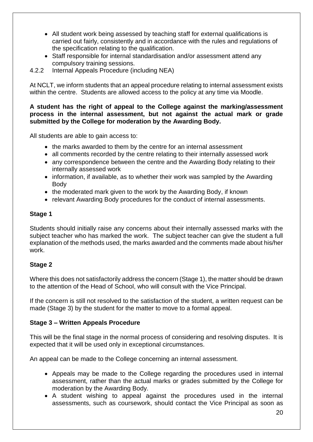- All student work being assessed by teaching staff for external qualifications is carried out fairly, consistently and in accordance with the rules and regulations of the specification relating to the qualification.
- Staff responsible for internal standardisation and/or assessment attend any compulsory training sessions.
- 4.2.2 Internal Appeals Procedure (including NEA)

At NCLT, we inform students that an appeal procedure relating to internal assessment exists within the centre. Students are allowed access to the policy at any time via Moodle.

#### **A student has the right of appeal to the College against the marking/assessment process in the internal assessment, but not against the actual mark or grade submitted by the College for moderation by the Awarding Body.**

All students are able to gain access to:

- the marks awarded to them by the centre for an internal assessment
- all comments recorded by the centre relating to their internally assessed work
- any correspondence between the centre and the Awarding Body relating to their internally assessed work
- information, if available, as to whether their work was sampled by the Awarding Body
- the moderated mark given to the work by the Awarding Body, if known
- relevant Awarding Body procedures for the conduct of internal assessments.

#### **Stage 1**

Students should initially raise any concerns about their internally assessed marks with the subject teacher who has marked the work. The subject teacher can give the student a full explanation of the methods used, the marks awarded and the comments made about his/her work.

## **Stage 2**

Where this does not satisfactorily address the concern (Stage 1), the matter should be drawn to the attention of the Head of School, who will consult with the Vice Principal.

If the concern is still not resolved to the satisfaction of the student, a written request can be made (Stage 3) by the student for the matter to move to a formal appeal.

## **Stage 3 – Written Appeals Procedure**

This will be the final stage in the normal process of considering and resolving disputes. It is expected that it will be used only in exceptional circumstances.

An appeal can be made to the College concerning an internal assessment.

- Appeals may be made to the College regarding the procedures used in internal assessment, rather than the actual marks or grades submitted by the College for moderation by the Awarding Body.
- A student wishing to appeal against the procedures used in the internal assessments, such as coursework, should contact the Vice Principal as soon as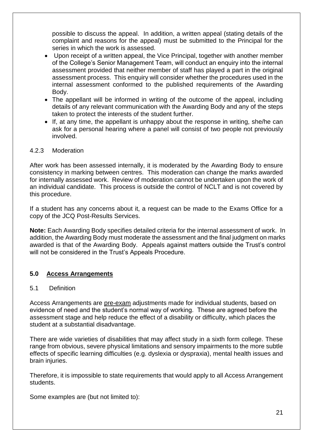possible to discuss the appeal. In addition, a written appeal (stating details of the complaint and reasons for the appeal) must be submitted to the Principal for the series in which the work is assessed.

- Upon receipt of a written appeal, the Vice Principal, together with another member of the College's Senior Management Team, will conduct an enquiry into the internal assessment provided that neither member of staff has played a part in the original assessment process. This enquiry will consider whether the procedures used in the internal assessment conformed to the published requirements of the Awarding Body.
- The appellant will be informed in writing of the outcome of the appeal, including details of any relevant communication with the Awarding Body and any of the steps taken to protect the interests of the student further.
- If, at any time, the appellant is unhappy about the response in writing, she/he can ask for a personal hearing where a panel will consist of two people not previously involved.

#### 4.2.3 Moderation

After work has been assessed internally, it is moderated by the Awarding Body to ensure consistency in marking between centres. This moderation can change the marks awarded for internally assessed work. Review of moderation cannot be undertaken upon the work of an individual candidate. This process is outside the control of NCLT and is not covered by this procedure.

If a student has any concerns about it, a request can be made to the Exams Office for a copy of the JCQ Post-Results Services.

**Note:** Each Awarding Body specifies detailed criteria for the internal assessment of work. In addition, the Awarding Body must moderate the assessment and the final judgment on marks awarded is that of the Awarding Body. Appeals against matters outside the Trust's control will not be considered in the Trust's Appeals Procedure.

## **5.0 Access Arrangements**

## 5.1 Definition

Access Arrangements are pre-exam adjustments made for individual students, based on evidence of need and the student's normal way of working. These are agreed before the assessment stage and help reduce the effect of a disability or difficulty, which places the student at a substantial disadvantage.

There are wide varieties of disabilities that may affect study in a sixth form college. These range from obvious, severe physical limitations and sensory impairments to the more subtle effects of specific learning difficulties (e.g. dyslexia or dyspraxia), mental health issues and brain injuries.

Therefore, it is impossible to state requirements that would apply to all Access Arrangement students.

Some examples are (but not limited to):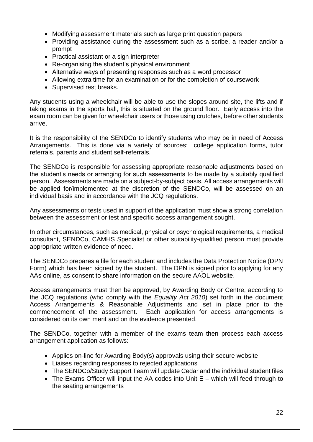- Modifying assessment materials such as large print question papers
- Providing assistance during the assessment such as a scribe, a reader and/or a prompt
- Practical assistant or a sign interpreter
- Re-organising the student's physical environment
- Alternative ways of presenting responses such as a word processor
- Allowing extra time for an examination or for the completion of coursework
- Supervised rest breaks.

Any students using a wheelchair will be able to use the slopes around site, the lifts and if taking exams in the sports hall, this is situated on the ground floor. Early access into the exam room can be given for wheelchair users or those using crutches, before other students arrive.

It is the responsibility of the SENDCo to identify students who may be in need of Access Arrangements. This is done via a variety of sources: college application forms, tutor referrals, parents and student self-referrals.

The SENDCo is responsible for assessing appropriate reasonable adjustments based on the student's needs or arranging for such assessments to be made by a suitably qualified person. Assessments are made on a subject-by-subject basis. All access arrangements will be applied for/implemented at the discretion of the SENDCo, will be assessed on an individual basis and in accordance with the JCQ regulations.

Any assessments or tests used in support of the application must show a strong correlation between the assessment or test and specific access arrangement sought.

In other circumstances, such as medical, physical or psychological requirements, a medical consultant, SENDCo, CAMHS Specialist or other suitability-qualified person must provide appropriate written evidence of need.

The SENDCo prepares a file for each student and includes the Data Protection Notice (DPN Form) which has been signed by the student. The DPN is signed prior to applying for any AAs online, as consent to share information on the secure AAOL website.

Access arrangements must then be approved, by Awarding Body or Centre, according to the JCQ regulations (who comply with the *Equality Act 2010*) set forth in the document Access Arrangements & Reasonable Adjustments and set in place prior to the commencement of the assessment. Each application for access arrangements is considered on its own merit and on the evidence presented.

The SENDCo, together with a member of the exams team then process each access arrangement application as follows:

- Applies on-line for Awarding Body(s) approvals using their secure website
- Liaises regarding responses to rejected applications
- The SENDCo/Study Support Team will update Cedar and the individual student files
- The Exams Officer will input the AA codes into Unit E which will feed through to the seating arrangements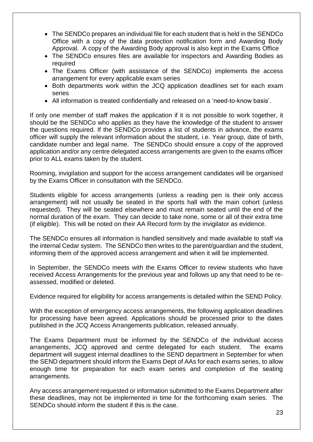- The SENDCo prepares an individual file for each student that is held in the SENDCo Office with a copy of the data protection notification form and Awarding Body Approval. A copy of the Awarding Body approval is also kept in the Exams Office
- The SENDCo ensures files are available for inspectors and Awarding Bodies as required
- The Exams Officer (with assistance of the SENDCo) implements the access arrangement for every applicable exam series
- Both departments work within the JCQ application deadlines set for each exam series
- All information is treated confidentially and released on a 'need-to-know basis'.

If only one member of staff makes the application if it is not possible to work together, it should be the SENDCo who applies as they have the knowledge of the student to answer the questions required. If the SENDCo provides a list of students in advance, the exams officer will supply the relevant information about the student, i.e. Year group, date of birth, candidate number and legal name. The SENDCo should ensure a copy of the approved application and/or any centre delegated access arrangements are given to the exams officer prior to ALL exams taken by the student.

Rooming, invigilation and support for the access arrangement candidates will be organised by the Exams Officer in consultation with the SENDCo.

Students eligible for access arrangements (unless a reading pen is their only access arrangement) will not usually be seated in the sports hall with the main cohort (unless requested). They will be seated elsewhere and must remain seated until the end of the normal duration of the exam. They can decide to take none, some or all of their extra time (if eligible). This will be noted on their AA Record form by the invigilator as evidence.

The SENDCo ensures all information is handled sensitively and made available to staff via the internal Cedar system. The SENDCo then writes to the parent/guardian and the student, informing them of the approved access arrangement and when it will be implemented.

In September, the SENDCo meets with the Exams Officer to review students who have received Access Arrangements for the previous year and follows up any that need to be reassessed, modified or deleted.

Evidence required for eligibility for access arrangements is detailed within the SEND Policy.

With the exception of emergency access arrangements, the following application deadlines for processing have been agreed. Applications should be processed prior to the dates published in the JCQ Access Arrangements publication, released annually.

The Exams Department must be informed by the SENDCo of the individual access arrangements, JCQ approved and centre delegated for each student. The exams department will suggest internal deadlines to the SEND department in September for when the SEND department should inform the Exams Dept of AAs for each exams series, to allow enough time for preparation for each exam series and completion of the seating arrangements.

Any access arrangement requested or information submitted to the Exams Department after these deadlines, may not be implemented in time for the forthcoming exam series. The SENDCo should inform the student if this is the case.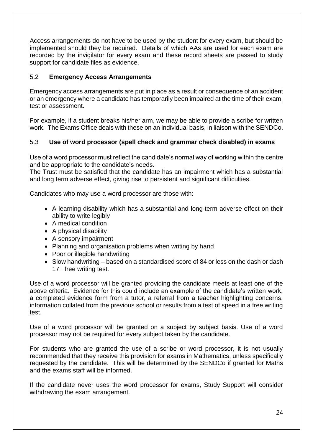Access arrangements do not have to be used by the student for every exam, but should be implemented should they be required. Details of which AAs are used for each exam are recorded by the invigilator for every exam and these record sheets are passed to study support for candidate files as evidence.

## 5.2 **Emergency Access Arrangements**

Emergency access arrangements are put in place as a result or consequence of an accident or an emergency where a candidate has temporarily been impaired at the time of their exam, test or assessment.

For example, if a student breaks his/her arm, we may be able to provide a scribe for written work. The Exams Office deals with these on an individual basis, in liaison with the SENDCo.

# 5.3 **Use of word processor (spell check and grammar check disabled) in exams**

Use of a word processor must reflect the candidate's normal way of working within the centre and be appropriate to the candidate's needs.

The Trust must be satisfied that the candidate has an impairment which has a substantial and long term adverse effect, giving rise to persistent and significant difficulties.

Candidates who may use a word processor are those with:

- A learning disability which has a substantial and long-term adverse effect on their ability to write legibly
- A medical condition
- A physical disability
- A sensory impairment
- Planning and organisation problems when writing by hand
- Poor or illegible handwriting
- Slow handwriting based on a standardised score of 84 or less on the dash or dash 17+ free writing test.

Use of a word processor will be granted providing the candidate meets at least one of the above criteria. Evidence for this could include an example of the candidate's written work, a completed evidence form from a tutor, a referral from a teacher highlighting concerns, information collated from the previous school or results from a test of speed in a free writing test.

Use of a word processor will be granted on a subject by subject basis. Use of a word processor may not be required for every subject taken by the candidate.

For students who are granted the use of a scribe or word processor, it is not usually recommended that they receive this provision for exams in Mathematics, unless specifically requested by the candidate. This will be determined by the SENDCo if granted for Maths and the exams staff will be informed.

If the candidate never uses the word processor for exams, Study Support will consider withdrawing the exam arrangement.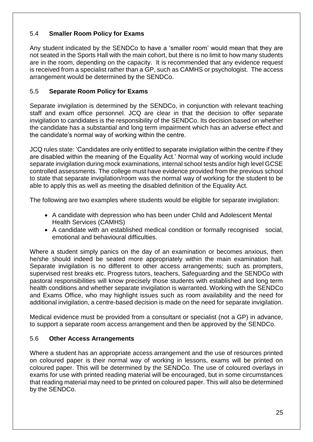# 5.4 **Smaller Room Policy for Exams**

Any student indicated by the SENDCo to have a 'smaller room' would mean that they are not seated in the Sports Hall with the main cohort, but there is no limit to how many students are in the room, depending on the capacity. It is recommended that any evidence request is received from a specialist rather than a GP, such as CAMHS or psychologist. The access arrangement would be determined by the SENDCo.

## 5.5 **Separate Room Policy for Exams**

Separate invigilation is determined by the SENDCo, in conjunction with relevant teaching staff and exam office personnel. JCQ are clear in that the decision to offer separate invigilation to candidates is the responsibility of the SENDCo. Its decision based on whether the candidate has a substantial and long term impairment which has an adverse effect and the candidate's normal way of working within the centre.

JCQ rules state: 'Candidates are only entitled to separate invigilation within the centre if they are disabled within the meaning of the Equality Act.' Normal way of working would include separate invigilation during mock examinations, internal school tests and/or high level GCSE controlled assessments. The college must have evidence provided from the previous school to state that separate invigilation/room was the normal way of working for the student to be able to apply this as well as meeting the disabled definition of the Equality Act.

The following are two examples where students would be eligible for separate invigilation:

- A candidate with depression who has been under Child and Adolescent Mental Health Services (CAMHS)
- A candidate with an established medical condition or formally recognised social, emotional and behavioural difficulties.

Where a student simply panics on the day of an examination or becomes anxious, then he/she should indeed be seated more appropriately within the main examination hall. Separate invigilation is no different to other access arrangements; such as prompters, supervised rest breaks etc. Progress tutors, teachers, Safeguarding and the SENDCo with pastoral responsibilities will know precisely those students with established and long term health conditions and whether separate invigilation is warranted. Working with the SENDCo and Exams Office, who may highlight issues such as room availability and the need for additional invigilation, a centre-based decision is made on the need for separate invigilation.

Medical evidence must be provided from a consultant or specialist (not a GP) in advance, to support a separate room access arrangement and then be approved by the SENDCo.

## 5.6 **Other Access Arrangements**

Where a student has an appropriate access arrangement and the use of resources printed on coloured paper is their normal way of working in lessons, exams will be printed on coloured paper. This will be determined by the SENDCo. The use of coloured overlays in exams for use with printed reading material will be encouraged, but in some circumstances that reading material may need to be printed on coloured paper. This will also be determined by the SENDCo.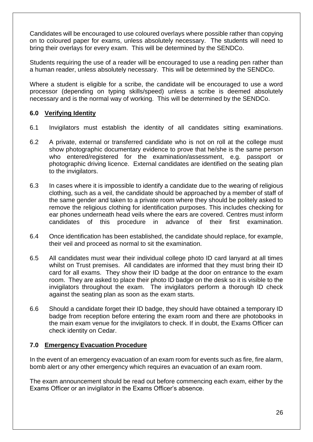Candidates will be encouraged to use coloured overlays where possible rather than copying on to coloured paper for exams, unless absolutely necessary. The students will need to bring their overlays for every exam. This will be determined by the SENDCo.

Students requiring the use of a reader will be encouraged to use a reading pen rather than a human reader, unless absolutely necessary. This will be determined by the SENDCo.

Where a student is eligible for a scribe, the candidate will be encouraged to use a word processor (depending on typing skills/speed) unless a scribe is deemed absolutely necessary and is the normal way of working. This will be determined by the SENDCo.

## **6.0 Verifying Identity**

- 6.1 Invigilators must establish the identity of all candidates sitting examinations.
- 6.2 A private, external or transferred candidate who is not on roll at the college must show photographic documentary evidence to prove that he/she is the same person who entered/registered for the examination/assessment, e.g. passport or photographic driving licence. External candidates are identified on the seating plan to the invigilators.
- 6.3 In cases where it is impossible to identify a candidate due to the wearing of religious clothing, such as a veil, the candidate should be approached by a member of staff of the same gender and taken to a private room where they should be politely asked to remove the religious clothing for identification purposes. This includes checking for ear phones underneath head veils where the ears are covered. Centres must inform candidates of this procedure in advance of their first examination.
- 6.4 Once identification has been established, the candidate should replace, for example, their veil and proceed as normal to sit the examination.
- 6.5 All candidates must wear their individual college photo ID card lanyard at all times whilst on Trust premises. All candidates are informed that they must bring their ID card for all exams. They show their ID badge at the door on entrance to the exam room. They are asked to place their photo ID badge on the desk so it is visible to the invigilators throughout the exam. The invigilators perform a thorough ID check against the seating plan as soon as the exam starts.
- 6.6 Should a candidate forget their ID badge, they should have obtained a temporary ID badge from reception before entering the exam room and there are photobooks in the main exam venue for the invigilators to check. If in doubt, the Exams Officer can check identity on Cedar.

## **7.0 Emergency Evacuation Procedure**

In the event of an emergency evacuation of an exam room for events such as fire, fire alarm, bomb alert or any other emergency which requires an evacuation of an exam room.

The exam announcement should be read out before commencing each exam, either by the Exams Officer or an invigilator in the Exams Officer's absence.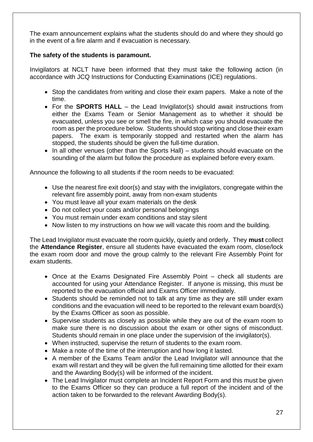The exam announcement explains what the students should do and where they should go in the event of a fire alarm and if evacuation is necessary.

## **The safety of the students is paramount.**

Invigilators at NCLT have been informed that they must take the following action (in accordance with JCQ Instructions for Conducting Examinations (ICE) regulations.

- Stop the candidates from writing and close their exam papers. Make a note of the time.
- For the **SPORTS HALL** the Lead Invigilator(s) should await instructions from either the Exams Team or Senior Management as to whether it should be evacuated, unless you see or smell the fire, in which case you should evacuate the room as per the procedure below. Students should stop writing and close their exam papers. The exam is temporarily stopped and restarted when the alarm has stopped, the students should be given the full-time duration.
- In all other venues (other than the Sports Hall) students should evacuate on the sounding of the alarm but follow the procedure as explained before every exam.

Announce the following to all students if the room needs to be evacuated:

- Use the nearest fire exit door(s) and stay with the invigilators, congregate within the relevant fire assembly point, away from non-exam students
- You must leave all your exam materials on the desk
- Do not collect your coats and/or personal belongings
- You must remain under exam conditions and stay silent
- Now listen to my instructions on how we will vacate this room and the building.

The Lead Invigilator must evacuate the room quickly, quietly and orderly. They **must** collect the **Attendance Register**, ensure all students have evacuated the exam room, close/lock the exam room door and move the group calmly to the relevant Fire Assembly Point for exam students.

- Once at the Exams Designated Fire Assembly Point check all students are accounted for using your Attendance Register. If anyone is missing, this must be reported to the evacuation official and Exams Officer immediately.
- Students should be reminded not to talk at any time as they are still under exam conditions and the evacuation will need to be reported to the relevant exam board(s) by the Exams Officer as soon as possible.
- Supervise students as closely as possible while they are out of the exam room to make sure there is no discussion about the exam or other signs of misconduct. Students should remain in one place under the supervision of the invigilator(s).
- When instructed, supervise the return of students to the exam room.
- Make a note of the time of the interruption and how long it lasted.
- A member of the Exams Team and/or the Lead Invigilator will announce that the exam will restart and they will be given the full remaining time allotted for their exam and the Awarding Body(s) will be informed of the incident.
- The Lead Invigilator must complete an Incident Report Form and this must be given to the Exams Officer so they can produce a full report of the incident and of the action taken to be forwarded to the relevant Awarding Body(s).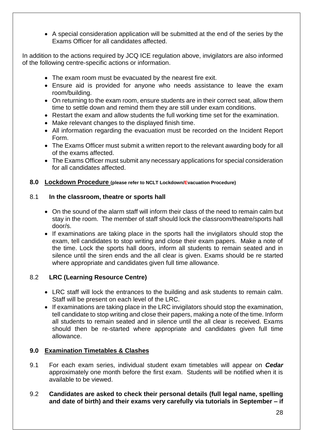• A special consideration application will be submitted at the end of the series by the Exams Officer for all candidates affected.

In addition to the actions required by JCQ ICE regulation above, invigilators are also informed of the following centre-specific actions or information.

- The exam room must be evacuated by the nearest fire exit.
- Ensure aid is provided for anyone who needs assistance to leave the exam room/building.
- On returning to the exam room, ensure students are in their correct seat, allow them time to settle down and remind them they are still under exam conditions.
- Restart the exam and allow students the full working time set for the examination.
- Make relevant changes to the displayed finish time.
- All information regarding the evacuation must be recorded on the Incident Report Form.
- The Exams Officer must submit a written report to the relevant awarding body for all of the exams affected.
- The Exams Officer must submit any necessary applications for special consideration for all candidates affected.

## **8.0 Lockdown Procedure (please refer to NCLT Lockdown/Evacuation Procedure)**

## 8.1 **In the classroom, theatre or sports hall**

- On the sound of the alarm staff will inform their class of the need to remain calm but stay in the room. The member of staff should lock the classroom/theatre/sports hall door/s.
- If examinations are taking place in the sports hall the invigilators should stop the exam, tell candidates to stop writing and close their exam papers. Make a note of the time. Lock the sports hall doors, inform all students to remain seated and in silence until the siren ends and the all clear is given. Exams should be re started where appropriate and candidates given full time allowance.

# 8.2 **LRC (Learning Resource Centre)**

- LRC staff will lock the entrances to the building and ask students to remain calm. Staff will be present on each level of the LRC.
- If examinations are taking place in the LRC invigilators should stop the examination, tell candidate to stop writing and close their papers, making a note of the time. Inform all students to remain seated and in silence until the all clear is received. Exams should then be re-started where appropriate and candidates given full time allowance.

## **9.0 Examination Timetables & Clashes**

- 9.1 For each exam series, individual student exam timetables will appear on *Cedar* approximately one month before the first exam. Students will be notified when it is available to be viewed.
- 9.2 **Candidates are asked to check their personal details (full legal name, spelling and date of birth) and their exams very carefully via tutorials in September – if**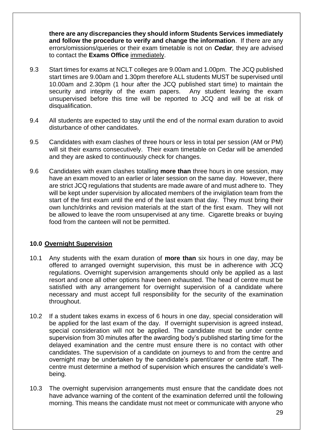**there are any discrepancies they should inform Students Services immediately and follow the procedure to verify and change the information**. If there are any errors/omissions/queries or their exam timetable is not on *Cedar,* they are advised to contact the **Exams Office** immediately.

- 9.3 Start times for exams at NCLT colleges are 9.00am and 1.00pm. The JCQ published start times are 9.00am and 1.30pm therefore ALL students MUST be supervised until 10.00am and 2.30pm (1 hour after the JCQ published start time) to maintain the security and integrity of the exam papers. Any student leaving the exam unsupervised before this time will be reported to JCQ and will be at risk of disqualification.
- 9.4 All students are expected to stay until the end of the normal exam duration to avoid disturbance of other candidates.
- 9.5 Candidates with exam clashes of three hours or less in total per session (AM or PM) will sit their exams consecutively. Their exam timetable on Cedar will be amended and they are asked to continuously check for changes.
- 9.6 Candidates with exam clashes totalling **more than** three hours in one session, may have an exam moved to an earlier or later session on the same day. However, there are strict JCQ regulations that students are made aware of and must adhere to. They will be kept under supervision by allocated members of the invigilation team from the start of the first exam until the end of the last exam that day. They must bring their own lunch/drinks and revision materials at the start of the first exam. They will not be allowed to leave the room unsupervised at any time. Cigarette breaks or buying food from the canteen will not be permitted.

## **10.0 Overnight Supervision**

- 10.1 Any students with the exam duration of **more than** six hours in one day, may be offered to arranged overnight supervision, this must be in adherence with JCQ regulations. Overnight supervision arrangements should only be applied as a last resort and once all other options have been exhausted. The head of centre must be satisfied with any arrangement for overnight supervision of a candidate where necessary and must accept full responsibility for the security of the examination throughout.
- 10.2 If a student takes exams in excess of 6 hours in one day, special consideration will be applied for the last exam of the day. If overnight supervision is agreed instead, special consideration will not be applied. The candidate must be under centre supervision from 30 minutes after the awarding body's published starting time for the delayed examination and the centre must ensure there is no contact with other candidates. The supervision of a candidate on journeys to and from the centre and overnight may be undertaken by the candidate's parent/carer or centre staff. The centre must determine a method of supervision which ensures the candidate's wellbeing.
- 10.3 The overnight supervision arrangements must ensure that the candidate does not have advance warning of the content of the examination deferred until the following morning. This means the candidate must not meet or communicate with anyone who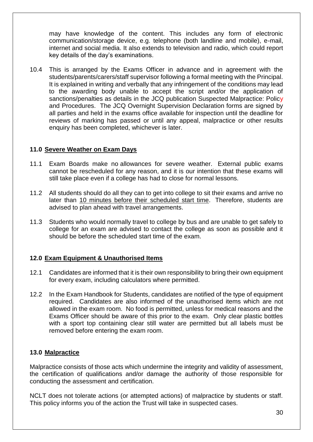may have knowledge of the content. This includes any form of electronic communication/storage device, e.g. telephone (both landline and mobile), e-mail, internet and social media. It also extends to television and radio, which could report key details of the day's examinations.

10.4 This is arranged by the Exams Officer in advance and in agreement with the students/parents/carers/staff supervisor following a formal meeting with the Principal. It is explained in writing and verbally that any infringement of the conditions may lead to the awarding body unable to accept the script and/or the application of sanctions/penalties as details in the JCQ publication Suspected Malpractice: Policy and Procedures. The JCQ Overnight Supervision Declaration forms are signed by all parties and held in the exams office available for inspection until the deadline for reviews of marking has passed or until any appeal, malpractice or other results enquiry has been completed, whichever is later.

## **11.0 Severe Weather on Exam Days**

- 11.1 Exam Boards make no allowances for severe weather. External public exams cannot be rescheduled for any reason, and it is our intention that these exams will still take place even if a college has had to close for normal lessons.
- 11.2 All students should do all they can to get into college to sit their exams and arrive no later than 10 minutes before their scheduled start time. Therefore, students are advised to plan ahead with travel arrangements.
- 11.3 Students who would normally travel to college by bus and are unable to get safely to college for an exam are advised to contact the college as soon as possible and it should be before the scheduled start time of the exam.

## **12.0 Exam Equipment & Unauthorised Items**

- 12.1 Candidates are informed that it is their own responsibility to bring their own equipment for every exam, including calculators where permitted.
- 12.2 In the Exam Handbook for Students, candidates are notified of the type of equipment required. Candidates are also informed of the unauthorised items which are not allowed in the exam room. No food is permitted, unless for medical reasons and the Exams Officer should be aware of this prior to the exam. Only clear plastic bottles with a sport top containing clear still water are permitted but all labels must be removed before entering the exam room.

#### **13.0 Malpractice**

Malpractice consists of those acts which undermine the integrity and validity of assessment, the certification of qualifications and/or damage the authority of those responsible for conducting the assessment and certification.

NCLT does not tolerate actions (or attempted actions) of malpractice by students or staff. This policy informs you of the action the Trust will take in suspected cases.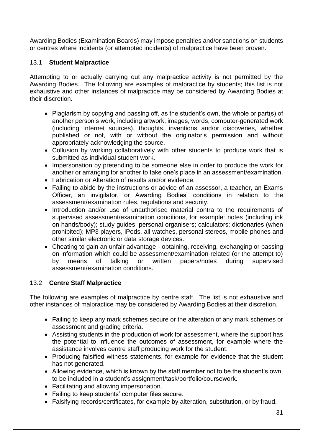Awarding Bodies (Examination Boards) may impose penalties and/or sanctions on students or centres where incidents (or attempted incidents) of malpractice have been proven.

## 13.1 **Student Malpractice**

Attempting to or actually carrying out any malpractice activity is not permitted by the Awarding Bodies. The following are examples of malpractice by students; this list is not exhaustive and other instances of malpractice may be considered by Awarding Bodies at their discretion.

- Plagiarism by copying and passing off, as the student's own, the whole or part(s) of another person's work, including artwork, images, words, computer-generated work (including Internet sources), thoughts, inventions and/or discoveries, whether published or not, with or without the originator's permission and without appropriately acknowledging the source.
- Collusion by working collaboratively with other students to produce work that is submitted as individual student work.
- Impersonation by pretending to be someone else in order to produce the work for another or arranging for another to take one's place in an assessment/examination.
- Fabrication or Alteration of results and/or evidence.
- Failing to abide by the instructions or advice of an assessor, a teacher, an Exams Officer, an invigilator, or Awarding Bodies' conditions in relation to the assessment/examination rules, regulations and security.
- Introduction and/or use of unauthorised material contra to the requirements of supervised assessment/examination conditions, for example: notes (including ink on hands/body); study guides; personal organisers; calculators; dictionaries (when prohibited); MP3 players, iPods, all watches, personal stereos, mobile phones and other similar electronic or data storage devices.
- Cheating to gain an unfair advantage obtaining, receiving, exchanging or passing on information which could be assessment/examination related (or the attempt to) by means of talking or written papers/notes during supervised assessment/examination conditions.

## 13.2 **Centre Staff Malpractice**

The following are examples of malpractice by centre staff. The list is not exhaustive and other instances of malpractice may be considered by Awarding Bodies at their discretion.

- Failing to keep any mark schemes secure or the alteration of any mark schemes or assessment and grading criteria.
- Assisting students in the production of work for assessment, where the support has the potential to influence the outcomes of assessment, for example where the assistance involves centre staff producing work for the student.
- Producing falsified witness statements, for example for evidence that the student has not generated.
- Allowing evidence, which is known by the staff member not to be the student's own, to be included in a student's assignment/task/portfolio/coursework.
- Facilitating and allowing impersonation.
- Failing to keep students' computer files secure.
- Falsifying records/certificates, for example by alteration, substitution, or by fraud.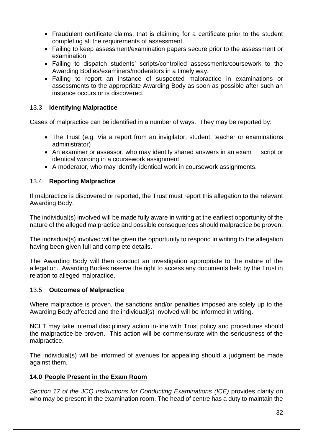- Fraudulent certificate claims, that is claiming for a certificate prior to the student completing all the requirements of assessment.
- Failing to keep assessment/examination papers secure prior to the assessment or examination.
- Failing to dispatch students' scripts/controlled assessments/coursework to the Awarding Bodies/examiners/moderators in a timely way.
- Failing to report an instance of suspected malpractice in examinations or assessments to the appropriate Awarding Body as soon as possible after such an instance occurs or is discovered.

## 13.3 **Identifying Malpractice**

Cases of malpractice can be identified in a number of ways. They may be reported by:

- The Trust (e.g. Via a report from an invigilator, student, teacher or examinations administrator)
- An examiner or assessor, who may identify shared answers in an exam script or identical wording in a coursework assignment
- A moderator, who may identify identical work in coursework assignments.

#### 13.4 **Reporting Malpractice**

If malpractice is discovered or reported, the Trust must report this allegation to the relevant Awarding Body.

The individual(s) involved will be made fully aware in writing at the earliest opportunity of the nature of the alleged malpractice and possible consequences should malpractice be proven.

The individual(s) involved will be given the opportunity to respond in writing to the allegation having been given full and complete details.

The Awarding Body will then conduct an investigation appropriate to the nature of the allegation. Awarding Bodies reserve the right to access any documents held by the Trust in relation to alleged malpractice.

#### 13.5 **Outcomes of Malpractice**

Where malpractice is proven, the sanctions and/or penalties imposed are solely up to the Awarding Body affected and the individual(s) involved will be informed in writing.

NCLT may take internal disciplinary action in-line with Trust policy and procedures should the malpractice be proven. This action will be commensurate with the seriousness of the malpractice.

The individual(s) will be informed of avenues for appealing should a judgment be made against them.

## **14.0 People Present in the Exam Room**

*Section 17 of the JCQ Instructions for Conducting Examinations (ICE)* provides clarity on who may be present in the examination room. The head of centre has a duty to maintain the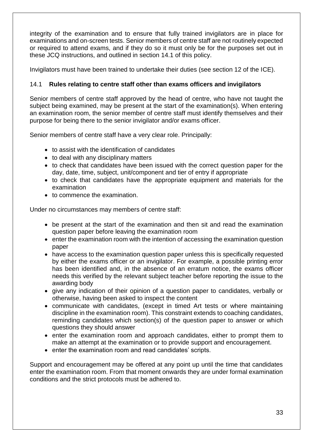integrity of the examination and to ensure that fully trained invigilators are in place for examinations and on-screen tests. Senior members of centre staff are not routinely expected or required to attend exams, and if they do so it must only be for the purposes set out in these JCQ instructions, and outlined in section 14.1 of this policy.

Invigilators must have been trained to undertake their duties (see section 12 of the ICE).

## 14.1 **Rules relating to centre staff other than exams officers and invigilators**

Senior members of centre staff approved by the head of centre, who have not taught the subject being examined, may be present at the start of the examination(s). When entering an examination room, the senior member of centre staff must identify themselves and their purpose for being there to the senior invigilator and/or exams officer.

Senior members of centre staff have a very clear role. Principally:

- to assist with the identification of candidates
- to deal with any disciplinary matters
- to check that candidates have been issued with the correct question paper for the day, date, time, subject, unit/component and tier of entry if appropriate
- to check that candidates have the appropriate equipment and materials for the examination
- to commence the examination.

Under no circumstances may members of centre staff:

- be present at the start of the examination and then sit and read the examination question paper before leaving the examination room
- enter the examination room with the intention of accessing the examination question paper
- have access to the examination question paper unless this is specifically requested by either the exams officer or an invigilator. For example, a possible printing error has been identified and, in the absence of an erratum notice, the exams officer needs this verified by the relevant subject teacher before reporting the issue to the awarding body
- give any indication of their opinion of a question paper to candidates, verbally or otherwise, having been asked to inspect the content
- communicate with candidates, (except in timed Art tests or where maintaining discipline in the examination room). This constraint extends to coaching candidates, reminding candidates which section(s) of the question paper to answer or which questions they should answer
- enter the examination room and approach candidates, either to prompt them to make an attempt at the examination or to provide support and encouragement.
- enter the examination room and read candidates' scripts.

Support and encouragement may be offered at any point up until the time that candidates enter the examination room. From that moment onwards they are under formal examination conditions and the strict protocols must be adhered to.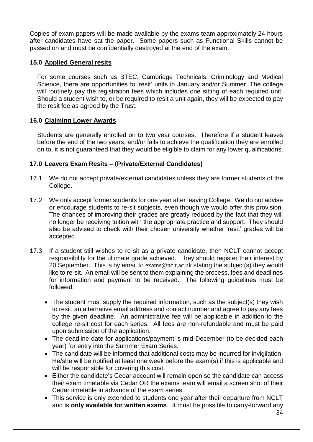Copies of exam papers will be made available by the exams team approximately 24 hours after candidates have sat the paper. Some papers such as Functional Skills cannot be passed on and must be confidentially destroyed at the end of the exam.

#### **15.0 Applied General resits**

For some courses such as BTEC, Cambridge Technicals, Criminology and Medical Science, there are opportunities to 'resit' units in January and/or Summer. The college will routinely pay the registration fees which includes one sitting of each required unit. Should a student wish to, or be required to resit a unit again, they will be expected to pay the resit fee as agreed by the Trust.

#### **16.0 Claiming Lower Awards**

Students are generally enrolled on to two year courses. Therefore if a student leaves before the end of the two years, and/or fails to achieve the qualification they are enrolled on to, it is not guaranteed that they would be eligible to claim for any lower qualifications.

#### **17.0 Leavers Exam Resits – (Private/External Candidates)**

- 17.1 We do not accept private/external candidates unless they are former students of the College.
- 17.2 We only accept former students for one year after leaving College. We do not advise or encourage students to re-sit subjects, even though we would offer this provision. The chances of improving their grades are greatly reduced by the fact that they will no longer be receiving tuition with the appropriate practice and support. They should also be advised to check with their chosen university whether 'resit' grades will be accepted.
- 17.3 If a student still wishes to re-sit as a private candidate, then NCLT cannot accept responsibility for the ultimate grade achieved. They should register their interest by 20 September. This is by email to [exams@nclt.ac.uk](mailto:exams@nclt.ac.uk) stating the subject(s) they would like to re-sit. An email will be sent to them explaining the process, fees and deadlines for information and payment to be received. The following guidelines must be followed.
	- The student must supply the required information, such as the subject(s) they wish to resit, an alternative email address and contact number and agree to pay any fees by the given deadline. An administrative fee will be applicable in addition to the college re-sit cost for each series. All fees are non-refundable and must be paid upon submission of the application.
	- The deadline date for applications/payment is mid-December (to be decided each year) for entry into the Summer Exam Series.
	- The candidate will be informed that additional costs may be incurred for invigilation. He/she will be notified at least one week before the exam(s) if this is applicable and will be responsible for covering this cost.
	- Either the candidate's Cedar account will remain open so the candidate can access their exam timetable via Cedar OR the exams team will email a screen shot of their Cedar timetable in advance of the exam series.
	- This service is only extended to students one year after their departure from NCLT and is **only available for written exams**. It must be possible to carry-forward any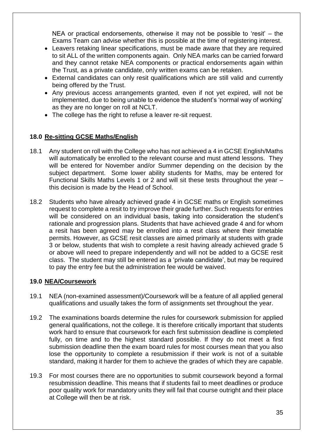NEA or practical endorsements, otherwise it may not be possible to 'resit' – the Exams Team can advise whether this is possible at the time of registering interest.

- Leavers retaking linear specifications, must be made aware that they are required to sit ALL of the written components again. Only NEA marks can be carried forward and they cannot retake NEA components or practical endorsements again within the Trust, as a private candidate, only written exams can be retaken.
- External candidates can only resit qualifications which are still valid and currently being offered by the Trust.
- Any previous access arrangements granted, even if not yet expired, will not be implemented, due to being unable to evidence the student's 'normal way of working' as they are no longer on roll at NCLT.
- The college has the right to refuse a leaver re-sit request.

## **18.0 Re-sitting GCSE Maths/English**

- 18.1 Any student on roll with the College who has not achieved a 4 in GCSE English/Maths will automatically be enrolled to the relevant course and must attend lessons. They will be entered for November and/or Summer depending on the decision by the subject department. Some lower ability students for Maths, may be entered for Functional Skills Maths Levels 1 or 2 and will sit these tests throughout the year – this decision is made by the Head of School.
- 18.2 Students who have already achieved grade 4 in GCSE maths or English sometimes request to complete a resit to try improve their grade further. Such requests for entries will be considered on an individual basis, taking into consideration the student's rationale and progression plans. Students that have achieved grade 4 and for whom a resit has been agreed may be enrolled into a resit class where their timetable permits. However, as GCSE resit classes are aimed primarily at students with grade 3 or below, students that wish to complete a resit having already achieved grade 5 or above will need to prepare independently and will not be added to a GCSE resit class. The student may still be entered as a 'private candidate', but may be required to pay the entry fee but the administration fee would be waived.

#### **19.0 NEA/Coursework**

- 19.1 NEA (non-examined assessment)/Coursework will be a feature of all applied general qualifications and usually takes the form of assignments set throughout the year.
- 19.2 The examinations boards determine the rules for coursework submission for applied general qualifications, not the college. It is therefore critically important that students work hard to ensure that coursework for each first submission deadline is completed fully, on time and to the highest standard possible. If they do not meet a first submission deadline then the exam board rules for most courses mean that you also lose the opportunity to complete a resubmission if their work is not of a suitable standard, making it harder for them to achieve the grades of which they are capable.
- 19.3 For most courses there are no opportunities to submit coursework beyond a formal resubmission deadline. This means that if students fail to meet deadlines or produce poor quality work for mandatory units they will fail that course outright and their place at College will then be at risk.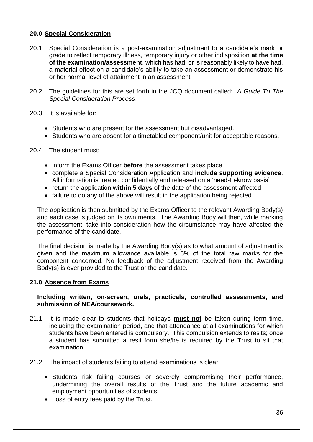## **20.0 Special Consideration**

- 20.1 Special Consideration is a post-examination adjustment to a candidate's mark or grade to reflect temporary illness, temporary injury or other indisposition **at the time of the examination/assessment**, which has had, or is reasonably likely to have had, a material effect on a candidate's ability to take an assessment or demonstrate his or her normal level of attainment in an assessment.
- 20.2 The guidelines for this are set forth in the JCQ document called: *A Guide To The Special Consideration Process*.
- 20.3 It is available for:
	- Students who are present for the assessment but disadvantaged.
	- Students who are absent for a timetabled component/unit for acceptable reasons.
- 20.4 The student must:
	- inform the Exams Officer **before** the assessment takes place
	- complete a Special Consideration Application and **include supporting evidence**. All information is treated confidentially and released on a 'need-to-know basis'
	- return the application **within 5 days** of the date of the assessment affected
	- failure to do any of the above will result in the application being rejected.

The application is then submitted by the Exams Officer to the relevant Awarding Body(s) and each case is judged on its own merits. The Awarding Body will then, while marking the assessment, take into consideration how the circumstance may have affected the performance of the candidate.

The final decision is made by the Awarding Body(s) as to what amount of adjustment is given and the maximum allowance available is 5% of the total raw marks for the component concerned. No feedback of the adjustment received from the Awarding Body(s) is ever provided to the Trust or the candidate.

## **21.0 Absence from Exams**

#### **Including written, on-screen, orals, practicals, controlled assessments, and submission of NEA/coursework.**

- 21.1 It is made clear to students that holidays **must not** be taken during term time, including the examination period, and that attendance at all examinations for which students have been entered is compulsory. This compulsion extends to resits; once a student has submitted a resit form she/he is required by the Trust to sit that examination.
- 21.2 The impact of students failing to attend examinations is clear.
	- Students risk failing courses or severely compromising their performance, undermining the overall results of the Trust and the future academic and employment opportunities of students.
	- Loss of entry fees paid by the Trust.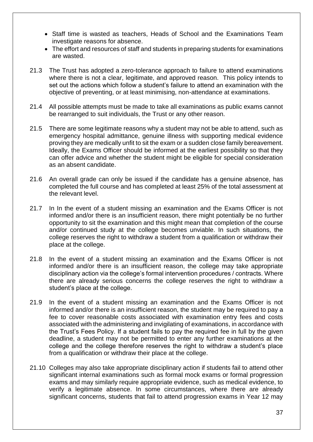- Staff time is wasted as teachers, Heads of School and the Examinations Team investigate reasons for absence.
- The effort and resources of staff and students in preparing students for examinations are wasted.
- 21.3 The Trust has adopted a zero-tolerance approach to failure to attend examinations where there is not a clear, legitimate, and approved reason. This policy intends to set out the actions which follow a student's failure to attend an examination with the objective of preventing, or at least minimising, non-attendance at examinations.
- 21.4 All possible attempts must be made to take all examinations as public exams cannot be rearranged to suit individuals, the Trust or any other reason.
- 21.5 There are some legitimate reasons why a student may not be able to attend, such as emergency hospital admittance, genuine illness with supporting medical evidence proving they are medically unfit to sit the exam or a sudden close family bereavement. Ideally, the Exams Officer should be informed at the earliest possibility so that they can offer advice and whether the student might be eligible for special consideration as an absent candidate.
- 21.6 An overall grade can only be issued if the candidate has a genuine absence, has completed the full course and has completed at least 25% of the total assessment at the relevant level.
- 21.7 In In the event of a student missing an examination and the Exams Officer is not informed and/or there is an insufficient reason, there might potentially be no further opportunity to sit the examination and this might mean that completion of the course and/or continued study at the college becomes unviable. In such situations, the college reserves the right to withdraw a student from a qualification or withdraw their place at the college.
- 21.8 In the event of a student missing an examination and the Exams Officer is not informed and/or there is an insufficient reason, the college may take appropriate disciplinary action via the college's formal intervention procedures / contracts. Where there are already serious concerns the college reserves the right to withdraw a student's place at the college.
- 21.9 In the event of a student missing an examination and the Exams Officer is not informed and/or there is an insufficient reason, the student may be required to pay a fee to cover reasonable costs associated with examination entry fees and costs associated with the administering and invigilating of examinations, in accordance with the Trust's Fees Policy. If a student fails to pay the required fee in full by the given deadline, a student may not be permitted to enter any further examinations at the college and the college therefore reserves the right to withdraw a student's place from a qualification or withdraw their place at the college.
- 21.10 Colleges may also take appropriate disciplinary action if students fail to attend other significant internal examinations such as formal mock exams or formal progression exams and may similarly require appropriate evidence, such as medical evidence, to verify a legitimate absence. In some circumstances, where there are already significant concerns, students that fail to attend progression exams in Year 12 may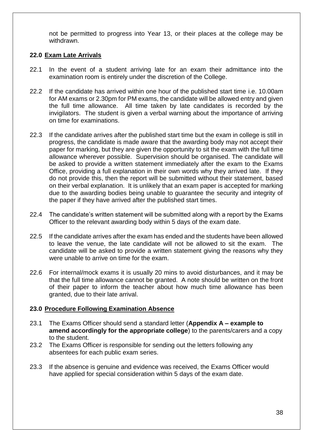not be permitted to progress into Year 13, or their places at the college may be withdrawn.

#### **22.0 Exam Late Arrivals**

- 22.1 In the event of a student arriving late for an exam their admittance into the examination room is entirely under the discretion of the College.
- 22.2 If the candidate has arrived within one hour of the published start time i.e. 10.00am for AM exams or 2.30pm for PM exams, the candidate will be allowed entry and given the full time allowance. All time taken by late candidates is recorded by the invigilators. The student is given a verbal warning about the importance of arriving on time for examinations.
- 22.3 If the candidate arrives after the published start time but the exam in college is still in progress, the candidate is made aware that the awarding body may not accept their paper for marking, but they are given the opportunity to sit the exam with the full time allowance wherever possible. Supervision should be organised. The candidate will be asked to provide a written statement immediately after the exam to the Exams Office, providing a full explanation in their own words why they arrived late. If they do not provide this, then the report will be submitted without their statement, based on their verbal explanation. It is unlikely that an exam paper is accepted for marking due to the awarding bodies being unable to guarantee the security and integrity of the paper if they have arrived after the published start times.
- 22.4 The candidate's written statement will be submitted along with a report by the Exams Officer to the relevant awarding body within 5 days of the exam date.
- 22.5 If the candidate arrives after the exam has ended and the students have been allowed to leave the venue, the late candidate will not be allowed to sit the exam. The candidate will be asked to provide a written statement giving the reasons why they were unable to arrive on time for the exam.
- 22.6 For internal/mock exams it is usually 20 mins to avoid disturbances, and it may be that the full time allowance cannot be granted. A note should be written on the front of their paper to inform the teacher about how much time allowance has been granted, due to their late arrival.

#### **23.0 Procedure Following Examination Absence**

- 23.1 The Exams Officer should send a standard letter (**Appendix A – example to amend accordingly for the appropriate college**) to the parents/carers and a copy to the student.
- 23.2 The Exams Officer is responsible for sending out the letters following any absentees for each public exam series.
- 23.3 If the absence is genuine and evidence was received, the Exams Officer would have applied for special consideration within 5 days of the exam date.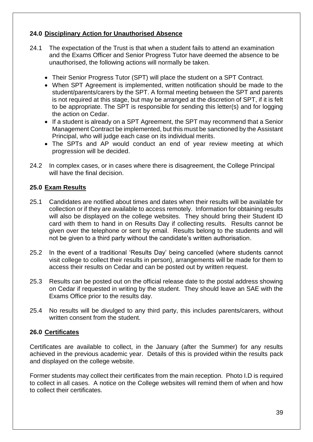## **24.0 Disciplinary Action for Unauthorised Absence**

- 24.1 The expectation of the Trust is that when a student fails to attend an examination and the Exams Officer and Senior Progress Tutor have deemed the absence to be unauthorised, the following actions will normally be taken.
	- Their Senior Progress Tutor (SPT) will place the student on a SPT Contract.
	- When SPT Agreement is implemented, written notification should be made to the student/parents/carers by the SPT. A formal meeting between the SPT and parents is not required at this stage, but may be arranged at the discretion of SPT, if it is felt to be appropriate. The SPT is responsible for sending this letter(s) and for logging the action on Cedar.
	- If a student is already on a SPT Agreement, the SPT may recommend that a Senior Management Contract be implemented, but this must be sanctioned by the Assistant Principal, who will judge each case on its individual merits.
	- The SPTs and AP would conduct an end of year review meeting at which progression will be decided.
- 24.2 In complex cases, or in cases where there is disagreement, the College Principal will have the final decision.

## **25.0 Exam Results**

- 25.1 Candidates are notified about times and dates when their results will be available for collection or if they are available to access remotely. Information for obtaining results will also be displayed on the college websites. They should bring their Student ID card with them to hand in on Results Day if collecting results. Results cannot be given over the telephone or sent by email. Results belong to the students and will not be given to a third party without the candidate's written authorisation.
- 25.2 In the event of a traditional 'Results Day' being cancelled (where students cannot visit college to collect their results in person), arrangements will be made for them to access their results on Cedar and can be posted out by written request.
- 25.3 Results can be posted out on the official release date to the postal address showing on Cedar if requested in writing by the student. They should leave an SAE with the Exams Office prior to the results day.
- 25.4 No results will be divulged to any third party, this includes parents/carers, without written consent from the student.

## **26.0 Certificates**

Certificates are available to collect, in the January (after the Summer) for any results achieved in the previous academic year. Details of this is provided within the results pack and displayed on the college website.

Former students may collect their certificates from the main reception. Photo I.D is required to collect in all cases. A notice on the College websites will remind them of when and how to collect their certificates.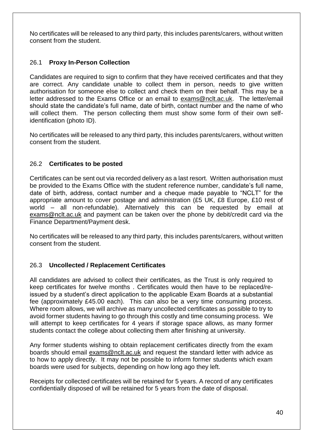No certificates will be released to any third party, this includes parents/carers, without written consent from the student.

## 26.1 **Proxy In-Person Collection**

Candidates are required to sign to confirm that they have received certificates and that they are correct. Any candidate unable to collect them in person, needs to give written authorisation for someone else to collect and check them on their behalf. This may be a letter addressed to the Exams Office or an email to [exams@nclt.ac.uk.](mailto:exams@nclt.ac.uk) The letter/email should state the candidate's full name, date of birth, contact number and the name of who will collect them. The person collecting them must show some form of their own selfidentification (photo ID).

No certificates will be released to any third party, this includes parents/carers, without written consent from the student.

## 26.2 **Certificates to be posted**

Certificates can be sent out via recorded delivery as a last resort. Written authorisation must be provided to the Exams Office with the student reference number, candidate's full name, date of birth, address, contact number and a cheque made payable to "NCLT" for the appropriate amount to cover postage and administration (£5 UK, £8 Europe, £10 rest of world – all non-refundable). Alternatively this can be requested by email at [exams@nclt.ac.uk](mailto:exams@nclt.ac.uk) and payment can be taken over the phone by debit/credit card via the Finance Department/Payment desk.

No certificates will be released to any third party, this includes parents/carers, without written consent from the student.

## 26.3 **Uncollected / Replacement Certificates**

All candidates are advised to collect their certificates, as the Trust is only required to keep certificates for twelve months . Certificates would then have to be replaced/reissued by a student's direct application to the applicable Exam Boards at a substantial fee (approximately £45.00 each). This can also be a very time consuming process. Where room allows, we will archive as many uncollected certificates as possible to try to avoid former students having to go through this costly and time consuming process. We will attempt to keep certificates for 4 years if storage space allows, as many former students contact the college about collecting them after finishing at university.

Any former students wishing to obtain replacement certificates directly from the exam boards should email [exams@nclt.ac.uk](mailto:exams@nclt.ac.uk) and request the standard letter with advice as to how to apply directly. It may not be possible to inform former students which exam boards were used for subjects, depending on how long ago they left.

Receipts for collected certificates will be retained for 5 years. A record of any certificates confidentially disposed of will be retained for 5 years from the date of disposal.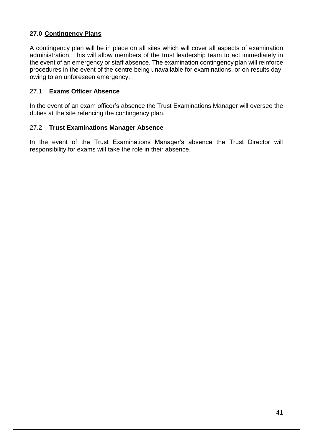## **27.0 Contingency Plans**

A contingency plan will be in place on all sites which will cover all aspects of examination administration. This will allow members of the trust leadership team to act immediately in the event of an emergency or staff absence. The examination contingency plan will reinforce procedures in the event of the centre being unavailable for examinations, or on results day, owing to an unforeseen emergency.

#### 27.1 **Exams Officer Absence**

In the event of an exam officer's absence the Trust Examinations Manager will oversee the duties at the site refencing the contingency plan.

#### 27.2 **Trust Examinations Manager Absence**

In the event of the Trust Examinations Manager's absence the Trust Director will responsibility for exams will take the role in their absence.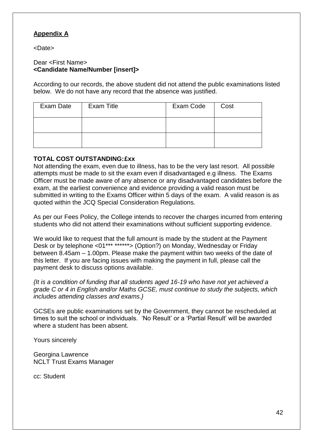## **Appendix A**

<Date>

#### Dear <First Name> **<Candidate Name/Number [insert]>**

According to our records, the above student did not attend the public examinations listed below. We do not have any record that the absence was justified.

| Exam Date | <b>Exam Title</b> | Exam Code | Cost |
|-----------|-------------------|-----------|------|
|           |                   |           |      |
|           |                   |           |      |

#### **TOTAL COST OUTSTANDING:£xx**

Not attending the exam, even due to illness, has to be the very last resort. All possible attempts must be made to sit the exam even if disadvantaged e.g illness. The Exams Officer must be made aware of any absence or any disadvantaged candidates before the exam, at the earliest convenience and evidence providing a valid reason must be submitted in writing to the Exams Officer within 5 days of the exam. A valid reason is as quoted within the JCQ Special Consideration Regulations.

As per our Fees Policy, the College intends to recover the charges incurred from entering students who did not attend their examinations without sufficient supporting evidence.

We would like to request that the full amount is made by the student at the Payment Desk or by telephone <01\*\*\* \*\*\*\*\*\*> (Option?) on Monday, Wednesday or Friday between 8.45am – 1.00pm. Please make the payment within two weeks of the date of this letter. If you are facing issues with making the payment in full, please call the payment desk to discuss options available.

*{It is a condition of funding that all students aged 16-19 who have not yet achieved a grade C or 4 in English and/or Maths GCSE, must continue to study the subjects, which includes attending classes and exams.}*

GCSEs are public examinations set by the Government, they cannot be rescheduled at times to suit the school or individuals. 'No Result' or a 'Partial Result' will be awarded where a student has been absent.

Yours sincerely

Georgina Lawrence NCLT Trust Exams Manager

cc: Student